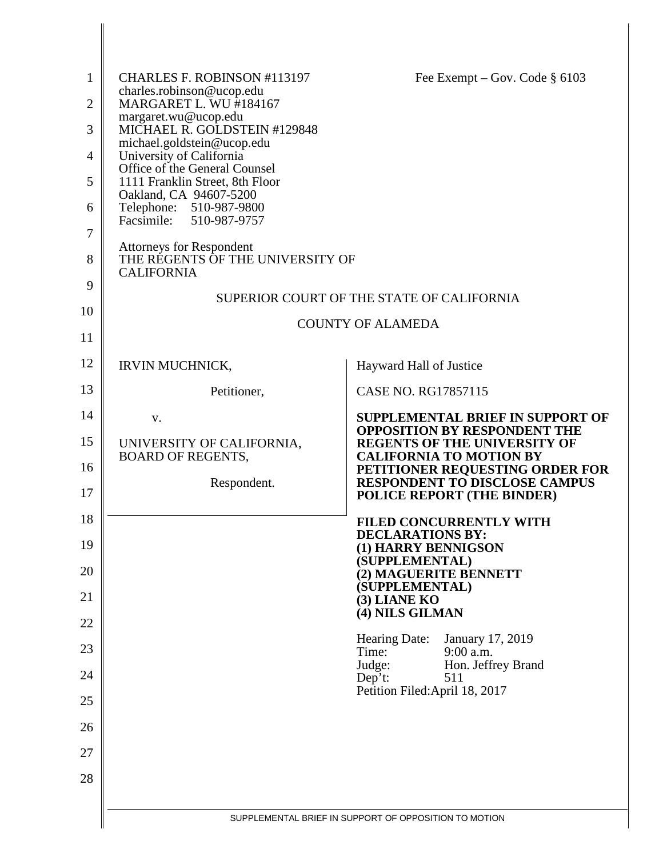| $\mathbf{1}$<br>$\overline{2}$<br>3<br>4<br>5<br>6<br>7 | <b>CHARLES F. ROBINSON #113197</b><br>charles.robinson@ucop.edu<br><b>MARGARET L. WU #184167</b><br>margaret.wu@ucop.edu<br>MICHAEL R. GOLDSTEIN #129848<br>michael.goldstein@ucop.edu<br>University of California<br>Office of the General Counsel<br>1111 Franklin Street, 8th Floor<br>Oakland, CA 94607-5200<br>Telephone: 510-987-9800<br>510-987-9757<br>Facsimile: | Fee Exempt – Gov. Code $\S$ 6103                                                                          |
|---------------------------------------------------------|---------------------------------------------------------------------------------------------------------------------------------------------------------------------------------------------------------------------------------------------------------------------------------------------------------------------------------------------------------------------------|-----------------------------------------------------------------------------------------------------------|
| 8                                                       | <b>Attorneys for Respondent</b><br>THE REGENTS OF THE UNIVERSITY OF<br><b>CALIFORNIA</b>                                                                                                                                                                                                                                                                                  |                                                                                                           |
| 9                                                       |                                                                                                                                                                                                                                                                                                                                                                           | SUPERIOR COURT OF THE STATE OF CALIFORNIA                                                                 |
| 10                                                      |                                                                                                                                                                                                                                                                                                                                                                           | <b>COUNTY OF ALAMEDA</b>                                                                                  |
| 11                                                      |                                                                                                                                                                                                                                                                                                                                                                           |                                                                                                           |
| 12                                                      | <b>IRVIN MUCHNICK,</b>                                                                                                                                                                                                                                                                                                                                                    | Hayward Hall of Justice                                                                                   |
| 13                                                      | Petitioner,                                                                                                                                                                                                                                                                                                                                                               | CASE NO. RG17857115                                                                                       |
| 14                                                      | V.                                                                                                                                                                                                                                                                                                                                                                        | <b>SUPPLEMENTAL BRIEF IN SUPPORT OF</b>                                                                   |
| 15                                                      | UNIVERSITY OF CALIFORNIA,                                                                                                                                                                                                                                                                                                                                                 | <b>OPPOSITION BY RESPONDENT THE</b><br><b>REGENTS OF THE UNIVERSITY OF</b>                                |
| 16<br>17                                                | <b>BOARD OF REGENTS,</b><br>Respondent.                                                                                                                                                                                                                                                                                                                                   | <b>CALIFORNIA TO MOTION BY</b><br>PETITIONER REQUESTING ORDER FOR<br><b>RESPONDENT TO DISCLOSE CAMPUS</b> |
| 18                                                      |                                                                                                                                                                                                                                                                                                                                                                           | POLICE REPORT (THE BINDER)                                                                                |
| 19                                                      |                                                                                                                                                                                                                                                                                                                                                                           | FILED CONCURRENTLY WITH<br><b>DECLARATIONS BY:</b><br>(1) HARRY BENNIGSON                                 |
| 20                                                      |                                                                                                                                                                                                                                                                                                                                                                           | (SUPPLEMENTAL)<br>(2) MAGUERITE BENNETT                                                                   |
| 21                                                      |                                                                                                                                                                                                                                                                                                                                                                           | (SUPPLEMENTAL)<br>(3) LIANE KO                                                                            |
| 22                                                      |                                                                                                                                                                                                                                                                                                                                                                           | (4) NILS GILMAN                                                                                           |
| 23                                                      |                                                                                                                                                                                                                                                                                                                                                                           | Hearing Date:<br>January 17, 2019<br>Time:<br>9:00 a.m.                                                   |
| 24                                                      |                                                                                                                                                                                                                                                                                                                                                                           | Judge:<br>Hon. Jeffrey Brand<br>Dep't:<br>511                                                             |
| 25                                                      |                                                                                                                                                                                                                                                                                                                                                                           | Petition Filed: April 18, 2017                                                                            |
| 26                                                      |                                                                                                                                                                                                                                                                                                                                                                           |                                                                                                           |
| 27                                                      |                                                                                                                                                                                                                                                                                                                                                                           |                                                                                                           |
| 28                                                      |                                                                                                                                                                                                                                                                                                                                                                           |                                                                                                           |
|                                                         |                                                                                                                                                                                                                                                                                                                                                                           |                                                                                                           |
|                                                         |                                                                                                                                                                                                                                                                                                                                                                           | SUPPLEMENTAL BRIEF IN SUPPORT OF OPPOSITION TO MOTION                                                     |

∥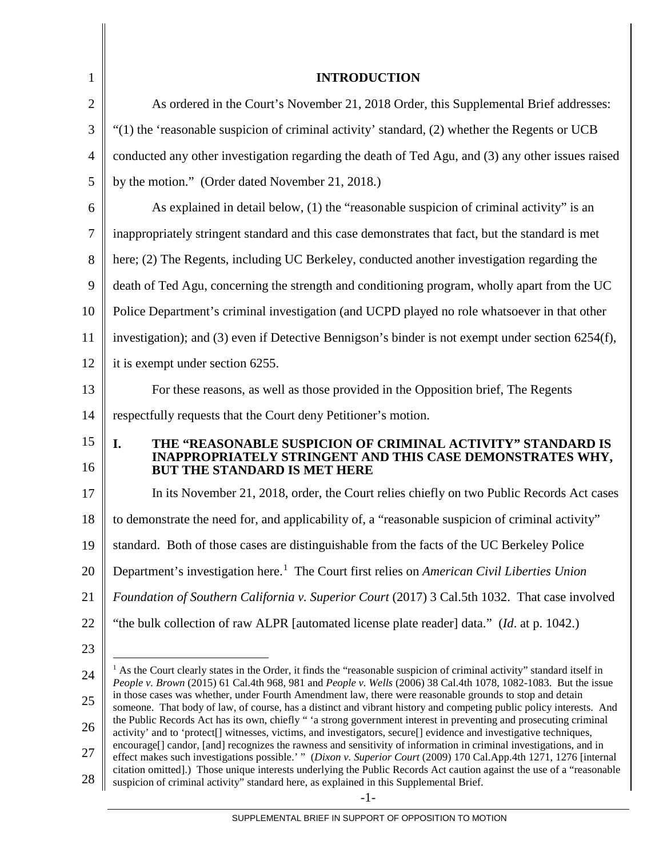<span id="page-1-0"></span>

| 1              | <b>INTRODUCTION</b>                                                                                                                                                                                                                                   |
|----------------|-------------------------------------------------------------------------------------------------------------------------------------------------------------------------------------------------------------------------------------------------------|
| $\overline{2}$ | As ordered in the Court's November 21, 2018 Order, this Supplemental Brief addresses:                                                                                                                                                                 |
| 3              | " $(1)$ the 'reasonable suspicion of criminal activity' standard, $(2)$ whether the Regents or UCB                                                                                                                                                    |
| $\overline{4}$ | conducted any other investigation regarding the death of Ted Agu, and (3) any other issues raised                                                                                                                                                     |
| 5              | by the motion." (Order dated November 21, 2018.)                                                                                                                                                                                                      |
| 6              | As explained in detail below, (1) the "reasonable suspicion of criminal activity" is an                                                                                                                                                               |
| 7              | inappropriately stringent standard and this case demonstrates that fact, but the standard is met                                                                                                                                                      |
| 8              | here; (2) The Regents, including UC Berkeley, conducted another investigation regarding the                                                                                                                                                           |
| 9              | death of Ted Agu, concerning the strength and conditioning program, wholly apart from the UC                                                                                                                                                          |
| 10             | Police Department's criminal investigation (and UCPD played no role whatsoever in that other                                                                                                                                                          |
| 11             | investigation); and (3) even if Detective Bennigson's binder is not exempt under section 6254(f),                                                                                                                                                     |
| 12             | it is exempt under section 6255.                                                                                                                                                                                                                      |
| 13             | For these reasons, as well as those provided in the Opposition brief, The Regents                                                                                                                                                                     |
| 14             | respectfully requests that the Court deny Petitioner's motion.                                                                                                                                                                                        |
| 15<br>16       | I.<br>THE "REASONABLE SUSPICION OF CRIMINAL ACTIVITY" STANDARD IS<br><b>INAPPROPRIATELY STRINGENT AND THIS CASE DEMONSTRATES WHY,</b><br><b>BUT THE STANDARD IS MET HERE</b>                                                                          |
| 17             | In its November 21, 2018, order, the Court relies chiefly on two Public Records Act cases                                                                                                                                                             |
| 18             | to demonstrate the need for, and applicability of, a "reasonable suspicion of criminal activity"                                                                                                                                                      |
| 19             | standard. Both of those cases are distinguishable from the facts of the UC Berkeley Police                                                                                                                                                            |
| 20             | Department's investigation here. <sup>1</sup> The Court first relies on American Civil Liberties Union                                                                                                                                                |
| 21             | Foundation of Southern California v. Superior Court (2017) 3 Cal.5th 1032. That case involved                                                                                                                                                         |
| 22             | "the bulk collection of raw ALPR [automated license plate reader] data." (Id. at p. 1042.)                                                                                                                                                            |
| 23             |                                                                                                                                                                                                                                                       |
| 24             | <sup>1</sup> As the Court clearly states in the Order, it finds the "reasonable suspicion of criminal activity" standard itself in<br>People v. Brown (2015) 61 Cal.4th 968, 981 and People v. Wells (2006) 38 Cal.4th 1078, 1082-1083. But the issue |
| 25             | in those cases was whether, under Fourth Amendment law, there were reasonable grounds to stop and detain<br>someone. That body of law, of course, has a distinct and vibrant history and competing public policy interests. And                       |
| 26             | the Public Records Act has its own, chiefly "'a strong government interest in preventing and prosecuting criminal<br>activity' and to 'protect[] witnesses, victims, and investigators, secure[] evidence and investigative techniques,               |
| 27             | encourage[] candor, [and] recognizes the rawness and sensitivity of information in criminal investigations, and in<br>effect makes such investigations possible.' " (Dixon v. Superior Court (2009) 170 Cal.App.4th 1271, 1276 [internal              |
| 28             | citation omitted].) Those unique interests underlying the Public Records Act caution against the use of a "reasonable<br>suspicion of criminal activity" standard here, as explained in this Supplemental Brief.                                      |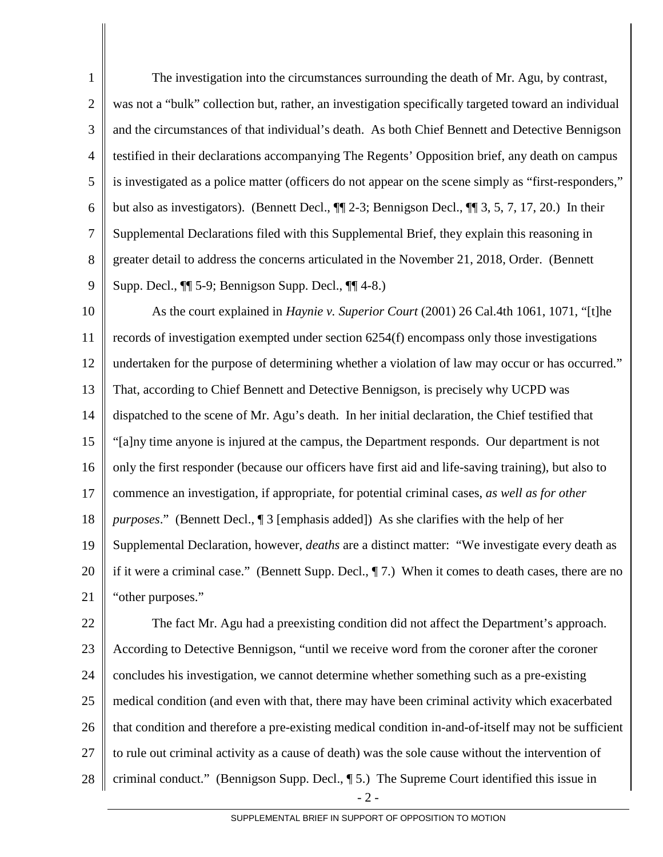1 2 3 4 5 6 7 8 9 The investigation into the circumstances surrounding the death of Mr. Agu, by contrast, was not a "bulk" collection but, rather, an investigation specifically targeted toward an individual and the circumstances of that individual's death. As both Chief Bennett and Detective Bennigson testified in their declarations accompanying The Regents' Opposition brief, any death on campus is investigated as a police matter (officers do not appear on the scene simply as "first-responders," but also as investigators). (Bennett Decl., ¶¶ 2-3; Bennigson Decl., ¶¶ 3, 5, 7, 17, 20.) In their Supplemental Declarations filed with this Supplemental Brief, they explain this reasoning in greater detail to address the concerns articulated in the November 21, 2018, Order. (Bennett Supp. Decl., ¶¶ 5-9; Bennigson Supp. Decl., ¶¶ 4-8.)

10 11 12 13 14 15 16 17 18 19 20 21 As the court explained in *Haynie v. Superior Court* (2001) 26 Cal.4th 1061, 1071, "[t]he records of investigation exempted under section 6254(f) encompass only those investigations undertaken for the purpose of determining whether a violation of law may occur or has occurred." That, according to Chief Bennett and Detective Bennigson, is precisely why UCPD was dispatched to the scene of Mr. Agu's death. In her initial declaration, the Chief testified that "[a]ny time anyone is injured at the campus, the Department responds. Our department is not only the first responder (because our officers have first aid and life-saving training), but also to commence an investigation, if appropriate, for potential criminal cases, *as well as for other purposes*." (Bennett Decl., ¶ 3 [emphasis added]) As she clarifies with the help of her Supplemental Declaration, however, *deaths* are a distinct matter: "We investigate every death as if it were a criminal case." (Bennett Supp. Decl., ¶ 7.) When it comes to death cases, there are no "other purposes."

22 23 24 25 26 27 28 The fact Mr. Agu had a preexisting condition did not affect the Department's approach. According to Detective Bennigson, "until we receive word from the coroner after the coroner concludes his investigation, we cannot determine whether something such as a pre-existing medical condition (and even with that, there may have been criminal activity which exacerbated that condition and therefore a pre-existing medical condition in-and-of-itself may not be sufficient to rule out criminal activity as a cause of death) was the sole cause without the intervention of criminal conduct." (Bennigson Supp. Decl., ¶ 5.) The Supreme Court identified this issue in

- 2 -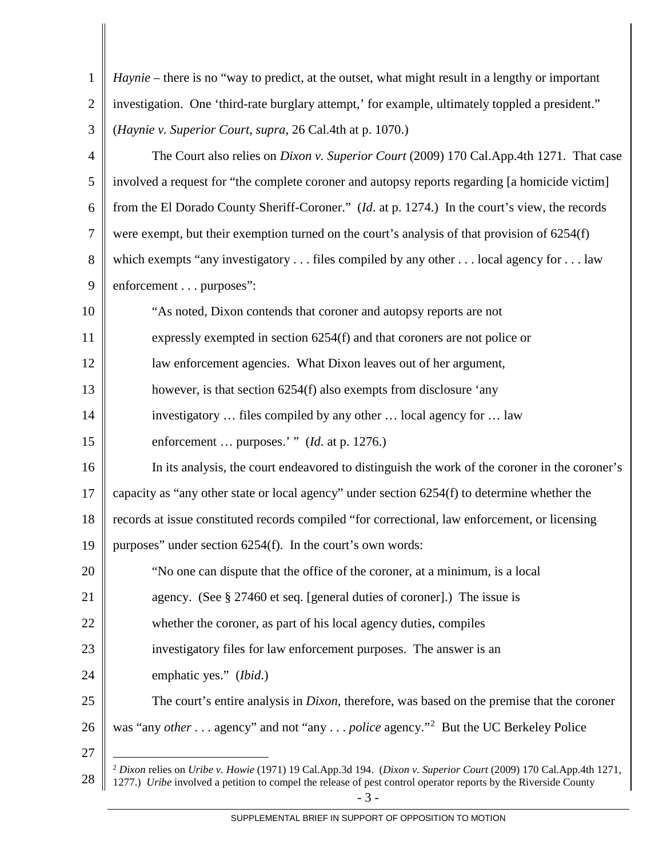<span id="page-3-0"></span>

| $\mathbf{1}$   | <i>Haynie</i> – there is no "way to predict, at the outset, what might result in a lengthy or important                                                                                                                                        |
|----------------|------------------------------------------------------------------------------------------------------------------------------------------------------------------------------------------------------------------------------------------------|
| $\overline{2}$ | investigation. One 'third-rate burglary attempt,' for example, ultimately toppled a president."                                                                                                                                                |
| 3              | (Haynie v. Superior Court, supra, 26 Cal.4th at p. 1070.)                                                                                                                                                                                      |
| $\overline{4}$ | The Court also relies on <i>Dixon v. Superior Court</i> (2009) 170 Cal.App.4th 1271. That case                                                                                                                                                 |
| 5              | involved a request for "the complete coroner and autopsy reports regarding [a homicide victim]                                                                                                                                                 |
| 6              | from the El Dorado County Sheriff-Coroner." ( <i>Id.</i> at p. 1274.) In the court's view, the records                                                                                                                                         |
| $\overline{7}$ | were exempt, but their exemption turned on the court's analysis of that provision of 6254(f)                                                                                                                                                   |
| 8              | which exempts "any investigatory $\dots$ files compiled by any other $\dots$ local agency for $\dots$ law                                                                                                                                      |
| 9              | enforcement purposes":                                                                                                                                                                                                                         |
| 10             | "As noted, Dixon contends that coroner and autopsy reports are not                                                                                                                                                                             |
| 11             | expressly exempted in section 6254(f) and that coroners are not police or                                                                                                                                                                      |
| 12             | law enforcement agencies. What Dixon leaves out of her argument,                                                                                                                                                                               |
| 13             | however, is that section 6254(f) also exempts from disclosure 'any                                                                                                                                                                             |
| 14             | investigatory  files compiled by any other  local agency for  law                                                                                                                                                                              |
| 15             | enforcement  purposes.' " (Id. at p. 1276.)                                                                                                                                                                                                    |
| 16             | In its analysis, the court endeavored to distinguish the work of the coroner in the coroner's                                                                                                                                                  |
| 17             | capacity as "any other state or local agency" under section 6254(f) to determine whether the                                                                                                                                                   |
| 18             | records at issue constituted records compiled "for correctional, law enforcement, or licensing                                                                                                                                                 |
| 19             | purposes" under section 6254(f). In the court's own words:                                                                                                                                                                                     |
| 20             | "No one can dispute that the office of the coroner, at a minimum, is a local                                                                                                                                                                   |
| 21             | agency. (See $\S 27460$ et seq. [general duties of coroner].) The issue is                                                                                                                                                                     |
| 22             | whether the coroner, as part of his local agency duties, compiles                                                                                                                                                                              |
| 23             | investigatory files for law enforcement purposes. The answer is an                                                                                                                                                                             |
| 24             | emphatic yes." ( <i>Ibid</i> .)                                                                                                                                                                                                                |
| 25             | The court's entire analysis in <i>Dixon</i> , therefore, was based on the premise that the coroner                                                                                                                                             |
| 26             | was "any other agency" and not "any police agency." <sup>2</sup> But the UC Berkeley Police                                                                                                                                                    |
| 27             |                                                                                                                                                                                                                                                |
| 28             | <sup>2</sup> Dixon relies on Uribe v. Howie (1971) 19 Cal.App.3d 194. (Dixon v. Superior Court (2009) 170 Cal.App.4th 1271,<br>1277.) Uribe involved a petition to compel the release of pest control operator reports by the Riverside County |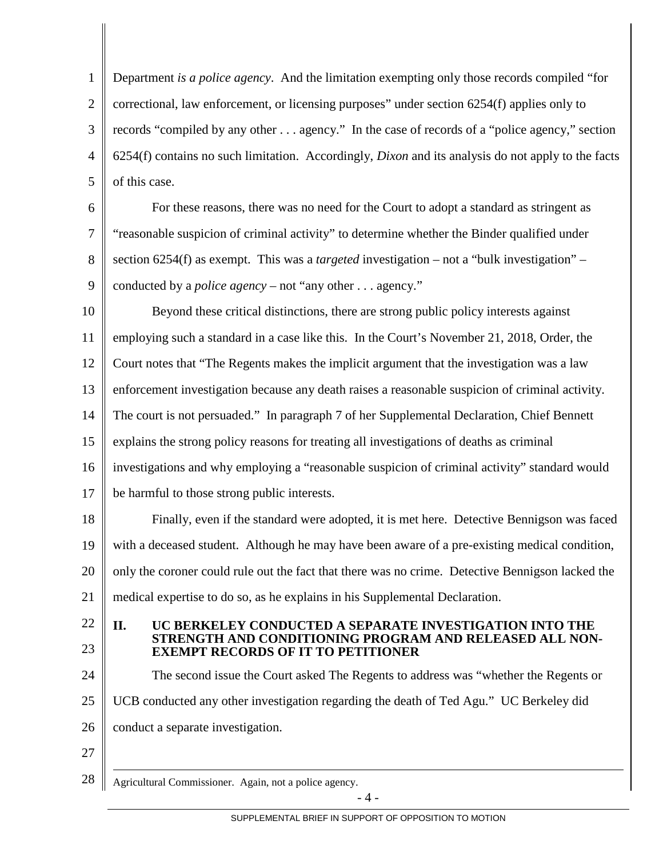1  $\mathfrak{D}$ 3 4 5 Department *is a police agency*. And the limitation exempting only those records compiled "for correctional, law enforcement, or licensing purposes" under section 6254(f) applies only to records "compiled by any other . . . agency." In the case of records of a "police agency," section 6254(f) contains no such limitation. Accordingly, *Dixon* and its analysis do not apply to the facts of this case.

6 7 8 9 For these reasons, there was no need for the Court to adopt a standard as stringent as "reasonable suspicion of criminal activity" to determine whether the Binder qualified under section 6254(f) as exempt. This was a *targeted* investigation – not a "bulk investigation" – conducted by a *police agency* – not "any other . . . agency."

10 11 12 13 14 15 16 17 18 19 20 21 22 23 Beyond these critical distinctions, there are strong public policy interests against employing such a standard in a case like this. In the Court's November 21, 2018, Order, the Court notes that "The Regents makes the implicit argument that the investigation was a law enforcement investigation because any death raises a reasonable suspicion of criminal activity. The court is not persuaded." In paragraph 7 of her Supplemental Declaration, Chief Bennett explains the strong policy reasons for treating all investigations of deaths as criminal investigations and why employing a "reasonable suspicion of criminal activity" standard would be harmful to those strong public interests. Finally, even if the standard were adopted, it is met here. Detective Bennigson was faced with a deceased student. Although he may have been aware of a pre-existing medical condition, only the coroner could rule out the fact that there was no crime. Detective Bennigson lacked the medical expertise to do so, as he explains in his Supplemental Declaration. **II. UC BERKELEY CONDUCTED A SEPARATE INVESTIGATION INTO THE STRENGTH AND CONDITIONING PROGRAM AND RELEASED ALL NON-**

**EXEMPT RECORDS OF IT TO PETITIONER** The second issue the Court asked The Regents to address was "whether the Regents or

25 UCB conducted any other investigation regarding the death of Ted Agu." UC Berkeley did

26 conduct a separate investigation.

27

24

28  $\overline{a}$ Agricultural Commissioner. Again, not a police agency.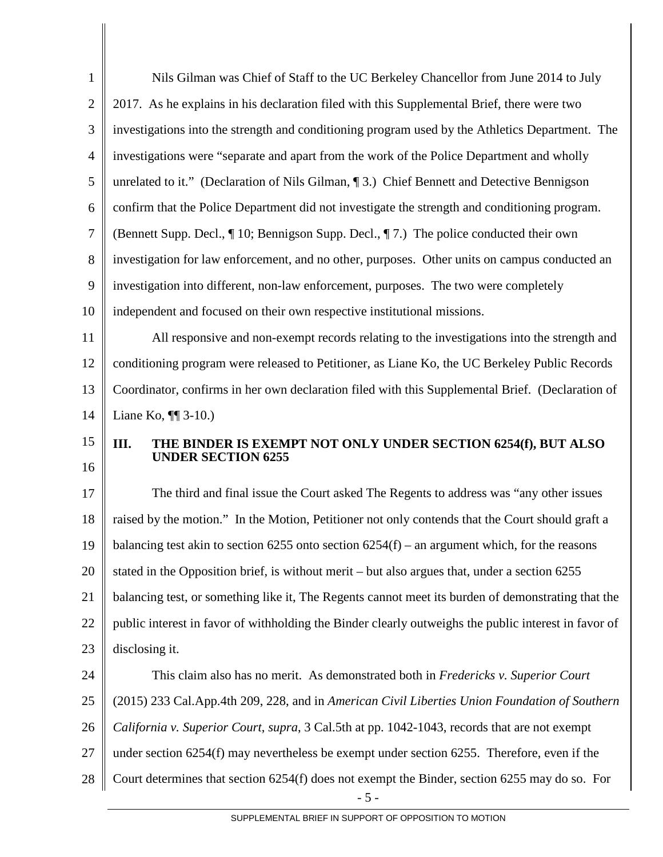| $\mathbf{1}$   | Nils Gilman was Chief of Staff to the UC Berkeley Chancellor from June 2014 to July                  |
|----------------|------------------------------------------------------------------------------------------------------|
| $\overline{2}$ | 2017. As he explains in his declaration filed with this Supplemental Brief, there were two           |
| 3              | investigations into the strength and conditioning program used by the Athletics Department. The      |
| $\overline{4}$ | investigations were "separate and apart from the work of the Police Department and wholly            |
| 5              | unrelated to it." (Declaration of Nils Gilman, ¶ 3.) Chief Bennett and Detective Bennigson           |
| 6              | confirm that the Police Department did not investigate the strength and conditioning program.        |
| 7              | (Bennett Supp. Decl., 10; Bennigson Supp. Decl., 17.) The police conducted their own                 |
| 8              | investigation for law enforcement, and no other, purposes. Other units on campus conducted an        |
| 9              | investigation into different, non-law enforcement, purposes. The two were completely                 |
| 10             | independent and focused on their own respective institutional missions.                              |
| 11             | All responsive and non-exempt records relating to the investigations into the strength and           |
| 12             | conditioning program were released to Petitioner, as Liane Ko, the UC Berkeley Public Records        |
| 13             | Coordinator, confirms in her own declaration filed with this Supplemental Brief. (Declaration of     |
|                | Liane Ko, $\P$ $(3-10.)$                                                                             |
| 14             |                                                                                                      |
| 15             | III.<br>THE BINDER IS EXEMPT NOT ONLY UNDER SECTION 6254(f), BUT ALSO                                |
| 16             | <b>UNDER SECTION 6255</b>                                                                            |
| 17             | The third and final issue the Court asked The Regents to address was "any other issues"              |
| 18             | raised by the motion." In the Motion, Petitioner not only contends that the Court should graft a     |
| 19             | balancing test akin to section 6255 onto section $6254(f)$ – an argument which, for the reasons      |
| 20             | stated in the Opposition brief, is without merit – but also argues that, under a section 6255        |
| 21             | balancing test, or something like it, The Regents cannot meet its burden of demonstrating that the   |
| 22             | public interest in favor of withholding the Binder clearly outweighs the public interest in favor of |
| 23             | disclosing it.                                                                                       |
| 24             | This claim also has no merit. As demonstrated both in Fredericks v. Superior Court                   |
| 25             | (2015) 233 Cal.App.4th 209, 228, and in American Civil Liberties Union Foundation of Southern        |
| 26             | California v. Superior Court, supra, 3 Cal.5th at pp. 1042-1043, records that are not exempt         |
| 27             | under section $6254(f)$ may nevertheless be exempt under section $6255$ . Therefore, even if the     |

- 5 -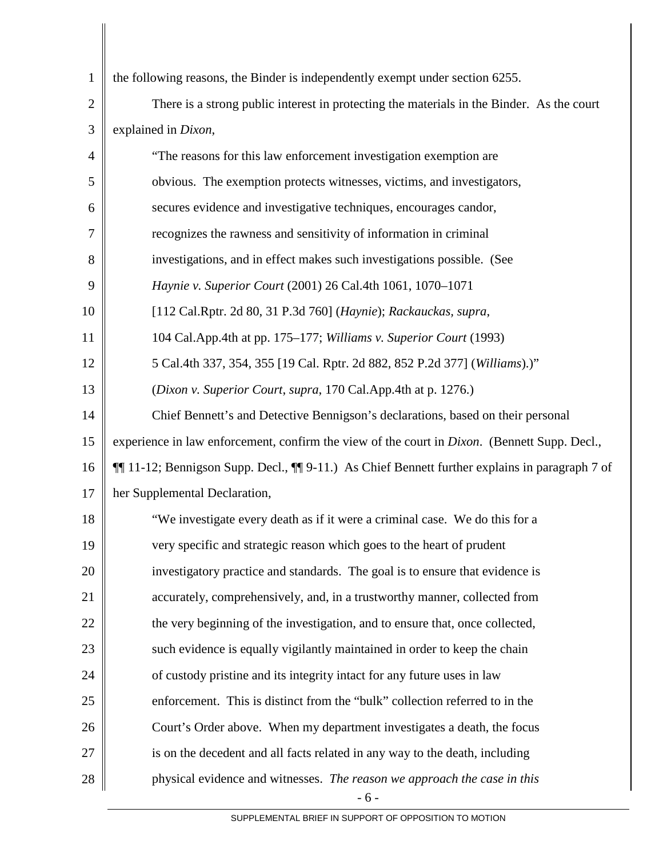| 1            | the following reasons, the Binder is independently exempt under section 6255.                        |
|--------------|------------------------------------------------------------------------------------------------------|
| $\mathbf{2}$ | There is a strong public interest in protecting the materials in the Binder. As the court            |
| 3            | explained in Dixon,                                                                                  |
| 4            | "The reasons for this law enforcement investigation exemption are                                    |
| 5            | obvious. The exemption protects witnesses, victims, and investigators,                               |
| 6            | secures evidence and investigative techniques, encourages candor,                                    |
| 7            | recognizes the rawness and sensitivity of information in criminal                                    |
| 8            | investigations, and in effect makes such investigations possible. (See                               |
| 9            | Haynie v. Superior Court (2001) 26 Cal.4th 1061, 1070-1071                                           |
| 10           | [112 Cal.Rptr. 2d 80, 31 P.3d 760] (Haynie); Rackauckas, supra,                                      |
| 11           | 104 Cal.App.4th at pp. 175-177; Williams v. Superior Court (1993)                                    |
| 12           | 5 Cal.4th 337, 354, 355 [19 Cal. Rptr. 2d 882, 852 P.2d 377] (Williams).)"                           |
| 13           | (Dixon v. Superior Court, supra, 170 Cal. App. 4th at p. 1276.)                                      |
| 14           | Chief Bennett's and Detective Bennigson's declarations, based on their personal                      |
| 15           | experience in law enforcement, confirm the view of the court in <i>Dixon</i> . (Bennett Supp. Decl., |
| 16           | ¶ 11-12; Bennigson Supp. Decl., ¶ 9-11.) As Chief Bennett further explains in paragraph 7 of         |
| 17           | her Supplemental Declaration,                                                                        |
| 18           | "We investigate every death as if it were a criminal case. We do this for a                          |
| 19           | very specific and strategic reason which goes to the heart of prudent                                |
| 20           | investigatory practice and standards. The goal is to ensure that evidence is                         |
| 21           | accurately, comprehensively, and, in a trustworthy manner, collected from                            |
| 22           | the very beginning of the investigation, and to ensure that, once collected,                         |
| 23           | such evidence is equally vigilantly maintained in order to keep the chain                            |
| 24           | of custody pristine and its integrity intact for any future uses in law                              |
| 25           | enforcement. This is distinct from the "bulk" collection referred to in the                          |
| 26           | Court's Order above. When my department investigates a death, the focus                              |
| 27           | is on the decedent and all facts related in any way to the death, including                          |
| 28           | physical evidence and witnesses. The reason we approach the case in this                             |

- 6 -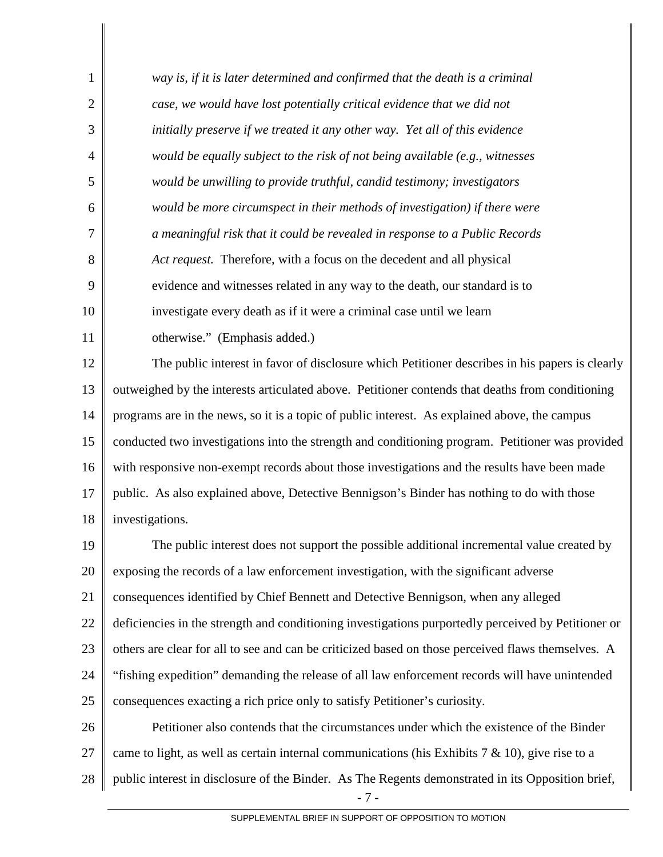1 2 3 4 5 6 7 8 9 10 11 12 13 14 15 16 17 18 19 20 21 22 23 24 25 26 27 28 *way is, if it is later determined and confirmed that the death is a criminal case, we would have lost potentially critical evidence that we did not initially preserve if we treated it any other way. Yet all of this evidence would be equally subject to the risk of not being available (e.g., witnesses would be unwilling to provide truthful, candid testimony; investigators would be more circumspect in their methods of investigation) if there were a meaningful risk that it could be revealed in response to a Public Records Act request.* Therefore, with a focus on the decedent and all physical evidence and witnesses related in any way to the death, our standard is to investigate every death as if it were a criminal case until we learn otherwise." (Emphasis added.) The public interest in favor of disclosure which Petitioner describes in his papers is clearly outweighed by the interests articulated above. Petitioner contends that deaths from conditioning programs are in the news, so it is a topic of public interest. As explained above, the campus conducted two investigations into the strength and conditioning program. Petitioner was provided with responsive non-exempt records about those investigations and the results have been made public. As also explained above, Detective Bennigson's Binder has nothing to do with those investigations. The public interest does not support the possible additional incremental value created by exposing the records of a law enforcement investigation, with the significant adverse consequences identified by Chief Bennett and Detective Bennigson, when any alleged deficiencies in the strength and conditioning investigations purportedly perceived by Petitioner or others are clear for all to see and can be criticized based on those perceived flaws themselves. A "fishing expedition" demanding the release of all law enforcement records will have unintended consequences exacting a rich price only to satisfy Petitioner's curiosity. Petitioner also contends that the circumstances under which the existence of the Binder came to light, as well as certain internal communications (his Exhibits  $7 < 10$ ), give rise to a public interest in disclosure of the Binder. As The Regents demonstrated in its Opposition brief,

- 7 -